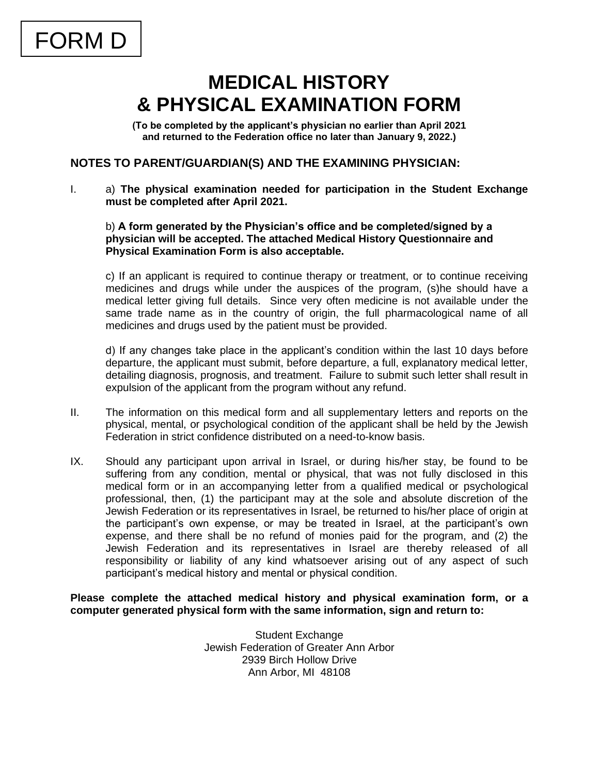## **MEDICAL HISTORY & PHYSICAL EXAMINATION FORM**

**(To be completed by the applicant's physician no earlier than April 2021 and returned to the Federation office no later than January 9, 2022.)**

#### **NOTES TO PARENT/GUARDIAN(S) AND THE EXAMINING PHYSICIAN:**

I. a) **The physical examination needed for participation in the Student Exchange must be completed after April 2021.**

#### b) **A form generated by the Physician's office and be completed/signed by a physician will be accepted. The attached Medical History Questionnaire and Physical Examination Form is also acceptable.**

c) If an applicant is required to continue therapy or treatment, or to continue receiving medicines and drugs while under the auspices of the program, (s)he should have a medical letter giving full details. Since very often medicine is not available under the same trade name as in the country of origin, the full pharmacological name of all medicines and drugs used by the patient must be provided.

d) If any changes take place in the applicant's condition within the last 10 days before departure, the applicant must submit, before departure, a full, explanatory medical letter, detailing diagnosis, prognosis, and treatment. Failure to submit such letter shall result in expulsion of the applicant from the program without any refund.

- II. The information on this medical form and all supplementary letters and reports on the physical, mental, or psychological condition of the applicant shall be held by the Jewish Federation in strict confidence distributed on a need-to-know basis.
- IX. Should any participant upon arrival in Israel, or during his/her stay, be found to be suffering from any condition, mental or physical, that was not fully disclosed in this medical form or in an accompanying letter from a qualified medical or psychological professional, then, (1) the participant may at the sole and absolute discretion of the Jewish Federation or its representatives in Israel, be returned to his/her place of origin at the participant's own expense, or may be treated in Israel, at the participant's own expense, and there shall be no refund of monies paid for the program, and (2) the Jewish Federation and its representatives in Israel are thereby released of all responsibility or liability of any kind whatsoever arising out of any aspect of such participant's medical history and mental or physical condition.

**Please complete the attached medical history and physical examination form, or a computer generated physical form with the same information, sign and return to:**

> Student Exchange Jewish Federation of Greater Ann Arbor 2939 Birch Hollow Drive Ann Arbor, MI 48108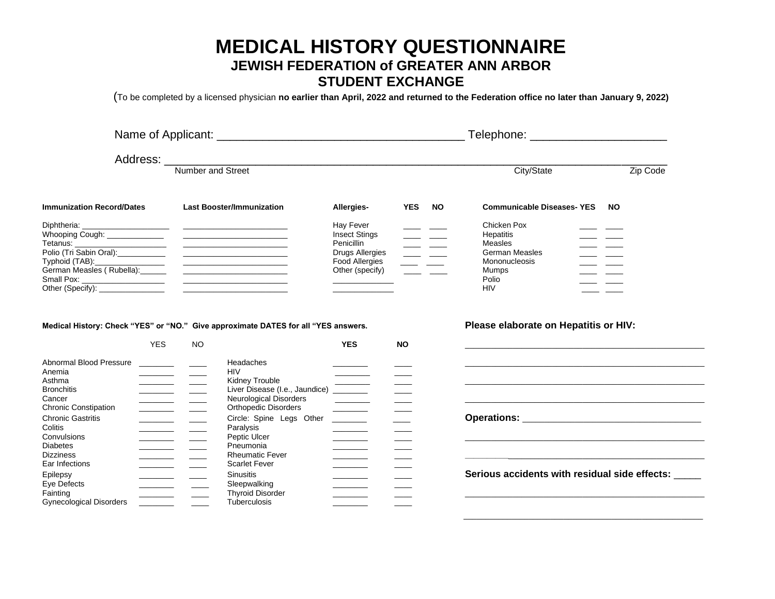### **MEDICAL HISTORY QUESTIONNAIRE JEWISH FEDERATION of GREATER ANN ARBOR STUDENT EXCHANGE**

(To be completed by a licensed physician **no earlier than April, 2022 and returned to the Federation office no later than January 9, 2022)**

|                                                                                   |                                                                                                                                                                                                                                                                                                                                                                                                                                                                              | Telephone: _________________________                                                 |                                                      |                                          |                                                                                                                                    |                                                                                                                                                                                                                                                                                                                                                                                                                                                   |           |
|-----------------------------------------------------------------------------------|------------------------------------------------------------------------------------------------------------------------------------------------------------------------------------------------------------------------------------------------------------------------------------------------------------------------------------------------------------------------------------------------------------------------------------------------------------------------------|--------------------------------------------------------------------------------------|------------------------------------------------------|------------------------------------------|------------------------------------------------------------------------------------------------------------------------------------|---------------------------------------------------------------------------------------------------------------------------------------------------------------------------------------------------------------------------------------------------------------------------------------------------------------------------------------------------------------------------------------------------------------------------------------------------|-----------|
|                                                                                   | Number and Street                                                                                                                                                                                                                                                                                                                                                                                                                                                            |                                                                                      |                                                      |                                          |                                                                                                                                    | City/State                                                                                                                                                                                                                                                                                                                                                                                                                                        | Zip Code  |
|                                                                                   |                                                                                                                                                                                                                                                                                                                                                                                                                                                                              |                                                                                      |                                                      |                                          |                                                                                                                                    |                                                                                                                                                                                                                                                                                                                                                                                                                                                   |           |
| <b>Immunization Record/Dates</b>                                                  |                                                                                                                                                                                                                                                                                                                                                                                                                                                                              | <b>Last Booster/Immunization</b>                                                     | Allergies-                                           | <b>YES</b>                               | <b>NO</b>                                                                                                                          | <b>Communicable Diseases-YES</b>                                                                                                                                                                                                                                                                                                                                                                                                                  | <b>NO</b> |
| Diphtheria:                                                                       |                                                                                                                                                                                                                                                                                                                                                                                                                                                                              |                                                                                      |                                                      | <u> 1989 - Johann Barbara, martxa al</u> | $\overline{\phantom{a}}$ and $\overline{\phantom{a}}$<br>المستندر المستند<br>$\overline{\phantom{a}}$ and $\overline{\phantom{a}}$ | Chicken Pox<br>Hepatitis<br>Measles<br>German Measles<br>Mononucleosis<br><u>and the community of the community of the community of the community of the community of the community of the community of the community of the community of the community of the community of the community of the community</u><br>Mumps<br><u> The Common School and The Common School and The Common School and The Common School and</u><br>Polio<br><b>HIV</b> |           |
|                                                                                   | <b>YES</b><br><b>NO</b>                                                                                                                                                                                                                                                                                                                                                                                                                                                      | Medical History: Check "YES" or "NO." Give approximate DATES for all "YES answers.   | <b>YES</b>                                           | <b>NO</b>                                |                                                                                                                                    | Please elaborate on Hepatitis or HIV:<br>the control of the control of the control of the control of the control of the control of the control of the control of                                                                                                                                                                                                                                                                                  |           |
| Abnormal Blood Pressure                                                           | <u>and the state of the state</u>                                                                                                                                                                                                                                                                                                                                                                                                                                            | Headaches                                                                            |                                                      |                                          |                                                                                                                                    |                                                                                                                                                                                                                                                                                                                                                                                                                                                   |           |
| Anemia<br>Asthma                                                                  | <u> The Community of the Community of the Community of the Community of the Community of the Community of the Community of the Community of the Community of the Community of the Community of the Community of the Community of</u><br>$\overline{\phantom{a}}$                                                                                                                                                                                                             | <b>HIV</b><br>Kidney Trouble                                                         |                                                      |                                          |                                                                                                                                    |                                                                                                                                                                                                                                                                                                                                                                                                                                                   |           |
| <b>Bronchitis</b><br>Cancer                                                       | $\frac{1}{1} \left( \frac{1}{1} \right) \left( \frac{1}{1} \right) \left( \frac{1}{1} \right) \left( \frac{1}{1} \right) \left( \frac{1}{1} \right) \left( \frac{1}{1} \right) \left( \frac{1}{1} \right) \left( \frac{1}{1} \right) \left( \frac{1}{1} \right) \left( \frac{1}{1} \right) \left( \frac{1}{1} \right) \left( \frac{1}{1} \right) \left( \frac{1}{1} \right) \left( \frac{1}{1} \right) \left( \frac{1}{1} \right) \left( \frac{1}{1} \right) \left( \frac$   | Kidney Trouble<br>Liver Disease (I.e., Jaundice) ________<br>Neurological Disorders  |                                                      |                                          |                                                                                                                                    |                                                                                                                                                                                                                                                                                                                                                                                                                                                   |           |
| <b>Chronic Constipation</b><br><b>Chronic Gastritis</b><br>Colitis<br>Convulsions | <u> The Community of the Community of the Community of the Community of the Community of the Community of the Community of the Community of the Community of the Community of the Community of the Community of the Community of</u><br><u> The Community of the Community of the Community of the Community of the Community of the Community of the Community of the Community of the Community of the Community of the Community of the Community of the Community of</u> | <b>Orthopedic Disorders</b><br>Circle: Spine Legs Other<br>Paralysis<br>Peptic Ulcer | $\mathcal{L}^{\text{max}}(\mathcal{L}^{\text{max}})$ |                                          |                                                                                                                                    |                                                                                                                                                                                                                                                                                                                                                                                                                                                   |           |
| <b>Diabetes</b><br><b>Dizziness</b><br>Ear Infections                             | $\overline{\phantom{a}}$<br>$\overline{\phantom{a}}$                                                                                                                                                                                                                                                                                                                                                                                                                         | Pneumonia<br><b>Rheumatic Fever</b><br><b>Scarlet Fever</b>                          |                                                      |                                          |                                                                                                                                    |                                                                                                                                                                                                                                                                                                                                                                                                                                                   |           |
| Epilepsy<br>Eye Defects<br>Fainting<br><b>Gynecological Disorders</b>             | <u> Alban Alban A</u>                                                                                                                                                                                                                                                                                                                                                                                                                                                        | <b>Sinusitis</b><br>Sleepwalking<br><b>Thyroid Disorder</b><br>Tuberculosis          |                                                      |                                          |                                                                                                                                    | Serious accidents with residual side effects:                                                                                                                                                                                                                                                                                                                                                                                                     |           |

 $\frac{1}{2}$  ,  $\frac{1}{2}$  ,  $\frac{1}{2}$  ,  $\frac{1}{2}$  ,  $\frac{1}{2}$  ,  $\frac{1}{2}$  ,  $\frac{1}{2}$  ,  $\frac{1}{2}$  ,  $\frac{1}{2}$  ,  $\frac{1}{2}$  ,  $\frac{1}{2}$  ,  $\frac{1}{2}$  ,  $\frac{1}{2}$  ,  $\frac{1}{2}$  ,  $\frac{1}{2}$  ,  $\frac{1}{2}$  ,  $\frac{1}{2}$  ,  $\frac{1}{2}$  ,  $\frac{1$